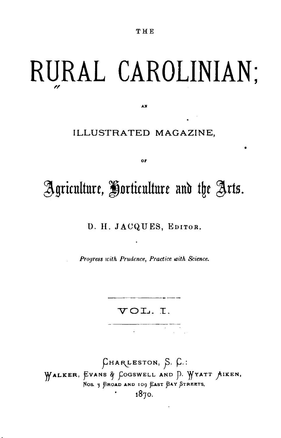THE

## RURAL CAROLINIAN;

ILLUSTRATED MAGAZINE,

AN

## Agriculture, Horticulture and the Arts.

 $0r$ 

D. H. JACQUES, EDITOR.

Progress with Prudence, Practice with Science.

VOL.I.

CHARLESTON, S. C.: WALKER, EVANS & GOGSWELL AND D. WYATT AIKEN, NOS. 9 BROAD AND 109 EAST BAY STREETS, 1870.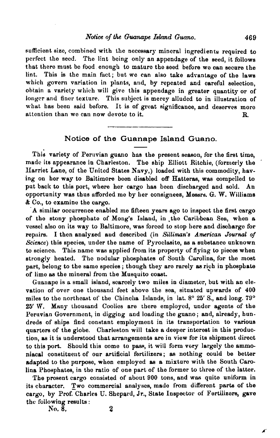sufficient size, combined with the necessary mineral ingredients required to perfect the seed. The lint being only an appendage of the seed, it follows that there must be food enough to mature the seed before we can secure the lint. This is the main fact; but we can also take advantage of the laws which govern variation in plants, and, by repeated and careful selection, obtain a variety whieh will give this appendage in greater quantity or of longer and finer texture. This subject is merey alluded to in illustration of what has been said before. It is of great significance, and deserves more attention than we can now devote to it. R.

## Notice of the Guanape Island Guano.

This variety of Peruvian guano has the present season, for the first time, made its appearance in Charleston. The ship Elliott Ritchie, (formerly the Harriet Lane, of the United States Navy,) loaded with this commodity, hav. ing on her way to Baltimore been disabled off Hatteras, was oompelled to put back to this port, where her cargo has been discharged and sold. An opportunity was thus ufforded me by her consignees, Messrs. G. W. Williams & Co., to examine the cargo.

A similar occurrence enabled me fifteen years ago to inspect the first cargo of the stony phosphate of Mong's Island, in the Caribbean Sea, when a vessel also on its way to Baltimore, was forced to stop here and discharge for repairs. I then analyzed aud described (in *Silliman's American Journal of Science)* this species, under the name of Pyroclasite, as a substance unknown to science. This name was applied from its property of flying to pieces when strongly heated. The nodular phosphates of Sonth Carolina, for the most part, belong to the same species; though they are rarely as rich in phosphate of lime as the mineral from the Musquito coast.

Guanape is a small island, scarcely two miles in diameter, but with an elevation of over one thousand feet above the sea, situated upwards of 400 miles to the northeast of the Chincha Islands, in lat.  $8^{\circ}$  25' S., and long. 79° 25' W. Many thousand Coolies are there employed, under agents of the Peruvian Government, in digging and loading the guano; and, already, hundreds of ships find constant employment in its transportation to various quarters of the globe. Charleston will take a deeper interest in this production, as it is understood that arrangements are in view for its shipment direct to this port. Should this come to pass, it will form very largely the ammoniacal constituent of our artificial fertilizers; as nothing could be better adapted to the purpose, when employed as a mixture with the South Carolina Phosphates, in tbe ratio of one part of the former to three of the latter.

The present cargo consisted of about 900 tons, and was quite uniform in its character. Two commercial analyses, made from different parts of the cargo, by Prof. Charles U. Shepard, Jr., State Inspector of Fertilizers, gave the following results :

 $\overline{N}_0$ ,  $\overline{8}$ ,  $\overline{2}$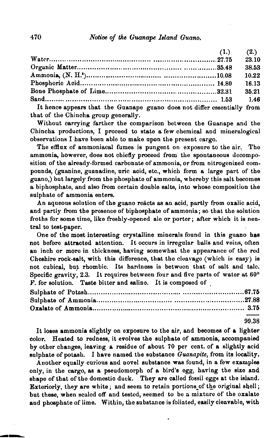## 470 *Notice of the Guanape Island Guano.*

|                                                                                                                                                                                                                                                                                                  | (1.) | (2.)  |
|--------------------------------------------------------------------------------------------------------------------------------------------------------------------------------------------------------------------------------------------------------------------------------------------------|------|-------|
|                                                                                                                                                                                                                                                                                                  |      | 23.10 |
|                                                                                                                                                                                                                                                                                                  |      | 38.53 |
|                                                                                                                                                                                                                                                                                                  |      | 10.22 |
|                                                                                                                                                                                                                                                                                                  |      | 16.13 |
|                                                                                                                                                                                                                                                                                                  |      | 35.21 |
|                                                                                                                                                                                                                                                                                                  |      | 1.46  |
| It hence appears that the Guanape guano does not differ essentially from                                                                                                                                                                                                                         |      |       |
| $\mathbf{u}$ and $\mathbf{u}$ and $\mathbf{u}$ and $\mathbf{u}$ and $\mathbf{u}$ and $\mathbf{u}$ and $\mathbf{u}$ and $\mathbf{u}$ and $\mathbf{u}$ and $\mathbf{u}$ and $\mathbf{u}$ and $\mathbf{u}$ and $\mathbf{u}$ and $\mathbf{u}$ and $\mathbf{u}$ and $\mathbf{u}$ and $\mathbf{u}$ and |      |       |

that of the Chincha group generally.

Without carrying farther the comparison between the Guanape and the Chincha productions, I proceed to state a few chemical and mineralogical observations I have been able to make upon the prcsent cargo.

The efflux of ammoniacal fumes is pungent on exposure to the air. The ammonia, however, does not chiefly proceed from the spontaneous decomposition of the already-formed carbonate of ammonia, or from nitrogenized compounds, (guanine, guanadine, uric acid, etc., which form a large part of the guano,) but largely from the phosphate of ammonia, whereby this salt become8 a biphosphate, and also from certain double salts, into whose composition the sulphate of ammonia enters.

An aqueous solution of the guano reacts as an acid, partly from oxalic acid, and partly from the presence of biphosphate of ammonia; so that the solution froths for some time, like freshly-opened ale or porter; after which it is neutral to test-paper.

One of the most interesting crystalline minerals found in this guano has not before attracted attention. It occurs in irregular balls and veins, often an inch or more in thickness, having somewhat the appearance of the red Cheshire rock-salt, with this difference, that the cleavage (which is easy) is not cubical, but rhombic. Its hardness is between that of salt and talc. Specific gravity, 2.3. It requires between four and five parts of water at 60° F. for solution. Taste bitter and saline. It is composed of

99.38

It loses ammonia slightly on exposure to the air, and becomes of a lighter color. Heated to redness, it evolves the sulphate of ammonia, accompanied by other change8, leaving a re8idue of about 70 per cent. of a slightly acid 8ulphate of potash. I have named the substance *Guanapite,* from it8 locality.

Another equally curious and novel substance was found, in a few examples only, in the cargo, as a pseudomorph of a bird's egg, having the size and shape of that of the domestic duck. They are called fossil eggs at the island. Exteriorly, they are white; and seem to retain portions of the original shell; but these, when scaled off and tested, seemed to be a mixture of the oxalate and phosphate of lime. Within, the substance is foliated, easily cleavable, with

**---**